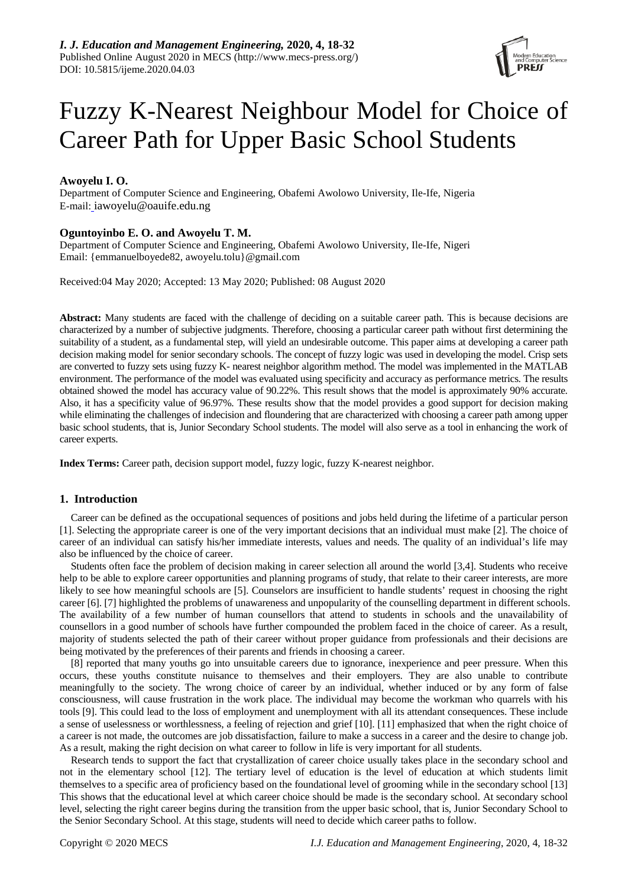

# Fuzzy K-Nearest Neighbour Model for Choice of Career Path for Upper Basic School Students

# **Awoyelu I. O.**

Department of Computer Science and Engineering, Obafemi Awolowo University, Ile-Ife, Nigeria E-mail: iawoyelu@oauife.edu.ng

# **Oguntoyinbo E. O. and Awoyelu T. M.**

Department of Computer Science and Engineering, Obafemi Awolowo University, Ile-Ife, Nigeri Email: {emmanuelboyede82, awoyelu.tolu}@gmail.com

Received:04 May 2020; Accepted: 13 May 2020; Published: 08 August 2020

**Abstract:** Many students are faced with the challenge of deciding on a suitable career path. This is because decisions are characterized by a number of subjective judgments. Therefore, choosing a particular career path without first determining the suitability of a student, as a fundamental step, will yield an undesirable outcome. This paper aims at developing a career path decision making model for senior secondary schools. The concept of fuzzy logic was used in developing the model. Crisp sets are converted to fuzzy sets using fuzzy K- nearest neighbor algorithm method. The model was implemented in the MATLAB environment. The performance of the model was evaluated using specificity and accuracy as performance metrics. The results obtained showed the model has accuracy value of 90.22%. This result shows that the model is approximately 90% accurate. Also, it has a specificity value of 96.97%. These results show that the model provides a good support for decision making while eliminating the challenges of indecision and floundering that are characterized with choosing a career path among upper basic school students, that is, Junior Secondary School students. The model will also serve as a tool in enhancing the work of career experts.

**Index Terms:** Career path, decision support model, fuzzy logic, fuzzy K-nearest neighbor.

## **1. Introduction**

Career can be defined as the occupational sequences of positions and jobs held during the lifetime of a particular person [1]. Selecting the appropriate career is one of the very important decisions that an individual must make [2]. The choice of career of an individual can satisfy his/her immediate interests, values and needs. The quality of an individual's life may also be influenced by the choice of career.

Students often face the problem of decision making in career selection all around the world [3,4]. Students who receive help to be able to explore career opportunities and planning programs of study, that relate to their career interests, are more likely to see how meaningful schools are [5]. Counselors are insufficient to handle students' request in choosing the right career [6]. [7] highlighted the problems of unawareness and unpopularity of the counselling department in different schools. The availability of a few number of human counsellors that attend to students in schools and the unavailability of counsellors in a good number of schools have further compounded the problem faced in the choice of career. As a result, majority of students selected the path of their career without proper guidance from professionals and their decisions are being motivated by the preferences of their parents and friends in choosing a career.

[8] reported that many youths go into unsuitable careers due to ignorance, inexperience and peer pressure. When this occurs, these youths constitute nuisance to themselves and their employers. They are also unable to contribute meaningfully to the society. The wrong choice of career by an individual, whether induced or by any form of false consciousness, will cause frustration in the work place. The individual may become the workman who quarrels with his tools [9]. This could lead to the loss of employment and unemployment with all its attendant consequences. These include a sense of uselessness or worthlessness, a feeling of rejection and grief [10]. [11] emphasized that when the right choice of a career is not made, the outcomes are job dissatisfaction, failure to make a success in a career and the desire to change job. As a result, making the right decision on what career to follow in life is very important for all students.

Research tends to support the fact that crystallization of career choice usually takes place in the secondary school and not in the elementary school [12]. The tertiary level of education is the level of education at which students limit themselves to a specific area of proficiency based on the foundational level of grooming while in the secondary school [13] This shows that the educational level at which career choice should be made is the secondary school. At secondary school level, selecting the right career begins during the transition from the upper basic school, that is, Junior Secondary School to the Senior Secondary School. At this stage, students will need to decide which career paths to follow.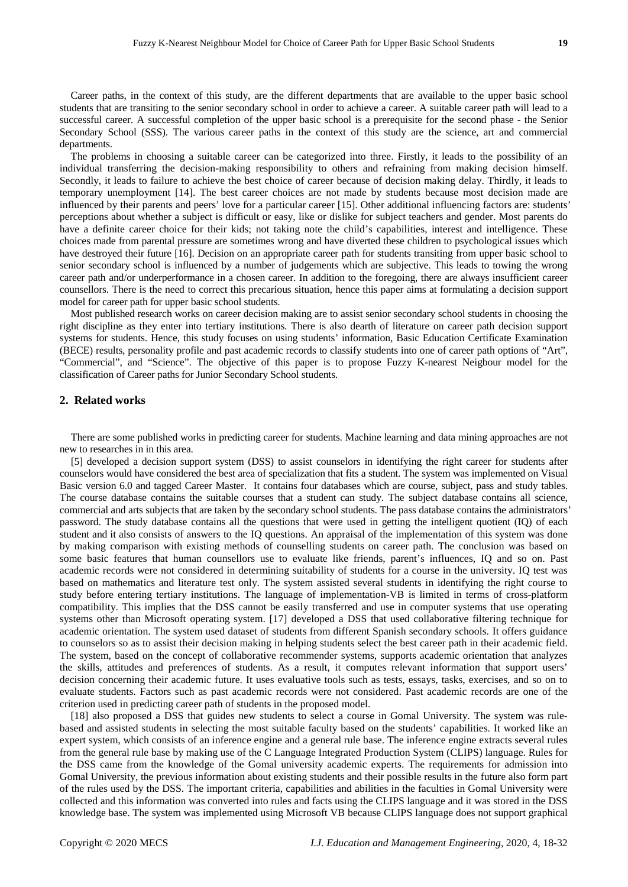Career paths, in the context of this study, are the different departments that are available to the upper basic school students that are transiting to the senior secondary school in order to achieve a career. A suitable career path will lead to a successful career. A successful completion of the upper basic school is a prerequisite for the second phase - the Senior Secondary School (SSS). The various career paths in the context of this study are the science, art and commercial departments.

The problems in choosing a suitable career can be categorized into three. Firstly, it leads to the possibility of an individual transferring the decision-making responsibility to others and refraining from making decision himself. Secondly, it leads to failure to achieve the best choice of career because of decision making delay. Thirdly, it leads to temporary unemployment [14]. The best career choices are not made by students because most decision made are influenced by their parents and peers' love for a particular career [15]. Other additional influencing factors are: students' perceptions about whether a subject is difficult or easy, like or dislike for subject teachers and gender. Most parents do have a definite career choice for their kids; not taking note the child's capabilities, interest and intelligence. These choices made from parental pressure are sometimes wrong and have diverted these children to psychological issues which have destroyed their future [16]. Decision on an appropriate career path for students transiting from upper basic school to senior secondary school is influenced by a number of judgements which are subjective. This leads to towing the wrong career path and/or underperformance in a chosen career. In addition to the foregoing, there are always insufficient career counsellors. There is the need to correct this precarious situation, hence this paper aims at formulating a decision support model for career path for upper basic school students.

Most published research works on career decision making are to assist senior secondary school students in choosing the right discipline as they enter into tertiary institutions. There is also dearth of literature on career path decision support systems for students. Hence, this study focuses on using students' information, Basic Education Certificate Examination (BECE) results, personality profile and past academic records to classify students into one of career path options of "Art", "Commercial", and "Science". The objective of this paper is to propose Fuzzy K-nearest Neigbour model for the classification of Career paths for Junior Secondary School students.

# **2. Related works**

There are some published works in predicting career for students. Machine learning and data mining approaches are not new to researches in in this area.

[5] developed a decision support system (DSS) to assist counselors in identifying the right career for students after counselors would have considered the best area of specialization that fits a student. The system was implemented on Visual Basic version 6.0 and tagged Career Master. It contains four databases which are course, subject, pass and study tables. The course database contains the suitable courses that a student can study. The subject database contains all science, commercial and arts subjects that are taken by the secondary school students. The pass database contains the administrators' password. The study database contains all the questions that were used in getting the intelligent quotient (IQ) of each student and it also consists of answers to the IQ questions. An appraisal of the implementation of this system was done by making comparison with existing methods of counselling students on career path. The conclusion was based on some basic features that human counsellors use to evaluate like friends, parent's influences, IQ and so on. Past academic records were not considered in determining suitability of students for a course in the university. IQ test was based on mathematics and literature test only. The system assisted several students in identifying the right course to study before entering tertiary institutions. The language of implementation-VB is limited in terms of cross-platform compatibility. This implies that the DSS cannot be easily transferred and use in computer systems that use operating systems other than Microsoft operating system. [17] developed a DSS that used collaborative filtering technique for academic orientation. The system used dataset of students from different Spanish secondary schools. It offers guidance to counselors so as to assist their decision making in helping students select the best career path in their academic field. The system, based on the concept of collaborative recommender systems, supports academic orientation that analyzes the skills, attitudes and preferences of students. As a result, it computes relevant information that support users' decision concerning their academic future. It uses evaluative tools such as tests, essays, tasks, exercises, and so on to evaluate students. Factors such as past academic records were not considered. Past academic records are one of the criterion used in predicting career path of students in the proposed model.

[18] also proposed a DSS that guides new students to select a course in Gomal University. The system was rulebased and assisted students in selecting the most suitable faculty based on the students' capabilities. It worked like an expert system, which consists of an inference engine and a general rule base. The inference engine extracts several rules from the general rule base by making use of the C Language Integrated Production System (CLIPS) language. Rules for the DSS came from the knowledge of the Gomal university academic experts. The requirements for admission into Gomal University, the previous information about existing students and their possible results in the future also form part of the rules used by the DSS. The important criteria, capabilities and abilities in the faculties in Gomal University were collected and this information was converted into rules and facts using the CLIPS language and it was stored in the DSS knowledge base. The system was implemented using Microsoft VB because CLIPS language does not support graphical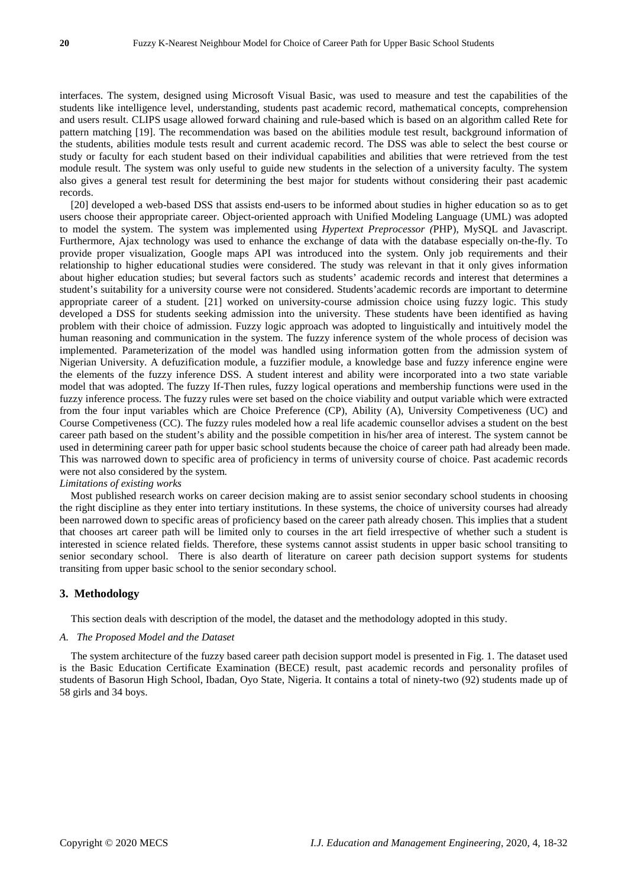interfaces. The system, designed using Microsoft Visual Basic, was used to measure and test the capabilities of the students like intelligence level, understanding, students past academic record, mathematical concepts, comprehension and users result. CLIPS usage allowed forward chaining and rule-based which is based on an algorithm called Rete for pattern matching [19]. The recommendation was based on the abilities module test result, background information of the students, abilities module tests result and current academic record. The DSS was able to select the best course or study or faculty for each student based on their individual capabilities and abilities that were retrieved from the test module result. The system was only useful to guide new students in the selection of a university faculty. The system also gives a general test result for determining the best major for students without considering their past academic records.

[20] developed a web-based DSS that assists end-users to be informed about studies in higher education so as to get users choose their appropriate career. Object-oriented approach with Unified Modeling Language (UML) was adopted to model the system. The system was implemented using *Hypertext Preprocessor (*PHP), MySQL and Javascript. Furthermore, Ajax technology was used to enhance the exchange of data with the database especially on-the-fly. To provide proper visualization, Google maps API was introduced into the system. Only job requirements and their relationship to higher educational studies were considered. The study was relevant in that it only gives information about higher education studies; but several factors such as students' academic records and interest that determines a student's suitability for a university course were not considered. Students'academic records are important to determine appropriate career of a student. [21] worked on university-course admission choice using fuzzy logic. This study developed a DSS for students seeking admission into the university. These students have been identified as having problem with their choice of admission. Fuzzy logic approach was adopted to linguistically and intuitively model the human reasoning and communication in the system. The fuzzy inference system of the whole process of decision was implemented. Parameterization of the model was handled using information gotten from the admission system of Nigerian University. A defuzification module, a fuzzifier module, a knowledge base and fuzzy inference engine were the elements of the fuzzy inference DSS. A student interest and ability were incorporated into a two state variable model that was adopted. The fuzzy If-Then rules, fuzzy logical operations and membership functions were used in the fuzzy inference process. The fuzzy rules were set based on the choice viability and output variable which were extracted from the four input variables which are Choice Preference (CP), Ability (A), University Competiveness (UC) and Course Competiveness (CC). The fuzzy rules modeled how a real life academic counsellor advises a student on the best career path based on the student's ability and the possible competition in his/her area of interest. The system cannot be used in determining career path for upper basic school students because the choice of career path had already been made. This was narrowed down to specific area of proficiency in terms of university course of choice. Past academic records were not also considered by the system.

# *Limitations of existing works*

Most published research works on career decision making are to assist senior secondary school students in choosing the right discipline as they enter into tertiary institutions. In these systems, the choice of university courses had already been narrowed down to specific areas of proficiency based on the career path already chosen. This implies that a student that chooses art career path will be limited only to courses in the art field irrespective of whether such a student is interested in science related fields. Therefore, these systems cannot assist students in upper basic school transiting to senior secondary school. There is also dearth of literature on career path decision support systems for students transiting from upper basic school to the senior secondary school.

## **3. Methodology**

This section deals with description of the model, the dataset and the methodology adopted in this study.

#### *A. The Proposed Model and the Dataset*

The system architecture of the fuzzy based career path decision support model is presented in Fig. 1. The dataset used is the Basic Education Certificate Examination (BECE) result, past academic records and personality profiles of students of Basorun High School, Ibadan, Oyo State, Nigeria. It contains a total of ninety-two (92) students made up of 58 girls and 34 boys.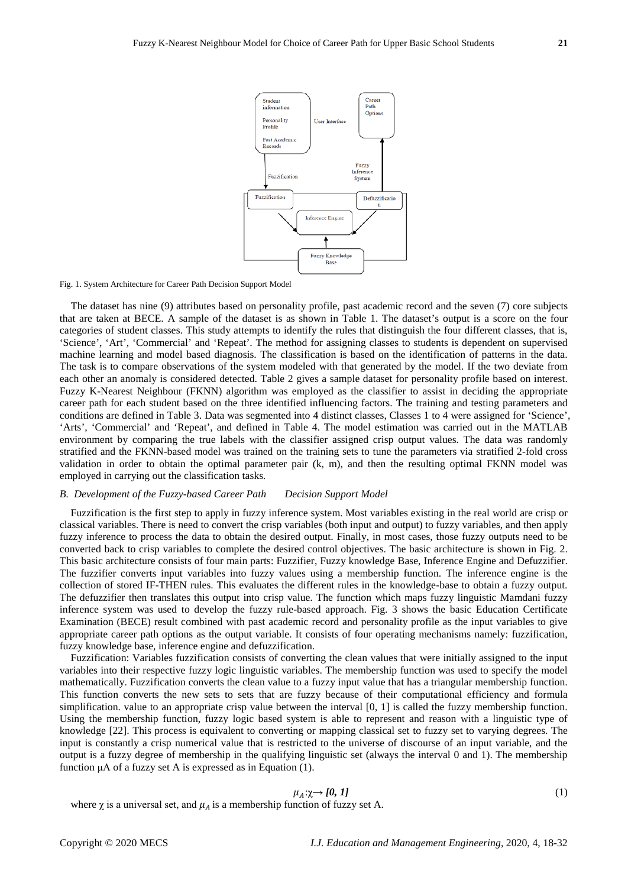

Fig. 1. System Architecture for Career Path Decision Support Model

The dataset has nine (9) attributes based on personality profile, past academic record and the seven (7) core subjects that are taken at BECE. A sample of the dataset is as shown in Table 1. The dataset's output is a score on the four categories of student classes. This study attempts to identify the rules that distinguish the four different classes, that is, 'Science', 'Art', 'Commercial' and 'Repeat'. The method for assigning classes to students is dependent on supervised machine learning and model based diagnosis. The classification is based on the identification of patterns in the data. The task is to compare observations of the system modeled with that generated by the model. If the two deviate from each other an anomaly is considered detected. Table 2 gives a sample dataset for personality profile based on interest. Fuzzy K-Nearest Neighbour (FKNN) algorithm was employed as the classifier to assist in deciding the appropriate career path for each student based on the three identified influencing factors. The training and testing parameters and conditions are defined in Table 3. Data was segmented into 4 distinct classes, Classes 1 to 4 were assigned for 'Science', 'Arts', 'Commercial' and 'Repeat', and defined in Table 4. The model estimation was carried out in the MATLAB environment by comparing the true labels with the classifier assigned crisp output values. The data was randomly stratified and the FKNN-based model was trained on the training sets to tune the parameters via stratified 2-fold cross validation in order to obtain the optimal parameter pair (k, m), and then the resulting optimal FKNN model was employed in carrying out the classification tasks.

#### *B. Development of the Fuzzy-based Career Path Decision Support Model*

Fuzzification is the first step to apply in fuzzy inference system. Most variables existing in the real world are crisp or classical variables. There is need to convert the crisp variables (both input and output) to fuzzy variables, and then apply fuzzy inference to process the data to obtain the desired output. Finally, in most cases, those fuzzy outputs need to be converted back to crisp variables to complete the desired control objectives. The basic architecture is shown in Fig. 2. This basic architecture consists of four main parts: Fuzzifier, Fuzzy knowledge Base, Inference Engine and Defuzzifier. The fuzzifier converts input variables into fuzzy values using a membership function. The inference engine is the collection of stored IF-THEN rules. This evaluates the different rules in the knowledge-base to obtain a fuzzy output. The defuzzifier then translates this output into crisp value. The function which maps fuzzy linguistic Mamdani fuzzy inference system was used to develop the fuzzy rule-based approach. Fig. 3 shows the basic Education Certificate Examination (BECE) result combined with past academic record and personality profile as the input variables to give appropriate career path options as the output variable. It consists of four operating mechanisms namely: fuzzification, fuzzy knowledge base, inference engine and defuzzification.

Fuzzification: Variables fuzzification consists of converting the clean values that were initially assigned to the input variables into their respective fuzzy logic linguistic variables. The membership function was used to specify the model mathematically. Fuzzification converts the clean value to a fuzzy input value that has a triangular membership function. This function converts the new sets to sets that are fuzzy because of their computational efficiency and formula simplification. value to an appropriate crisp value between the interval [0, 1] is called the fuzzy membership function. Using the membership function, fuzzy logic based system is able to represent and reason with a linguistic type of knowledge [22]. This process is equivalent to converting or mapping classical set to fuzzy set to varying degrees. The input is constantly a crisp numerical value that is restricted to the universe of discourse of an input variable, and the output is a fuzzy degree of membership in the qualifying linguistic set (always the interval 0 and 1). The membership function μA of a fuzzy set A is expressed as in Equation (1).

$$
\mu_A: \chi \to [0, 1] \tag{1}
$$

where  $\chi$  is a universal set, and  $\mu_A$  is a membership function of fuzzy set A.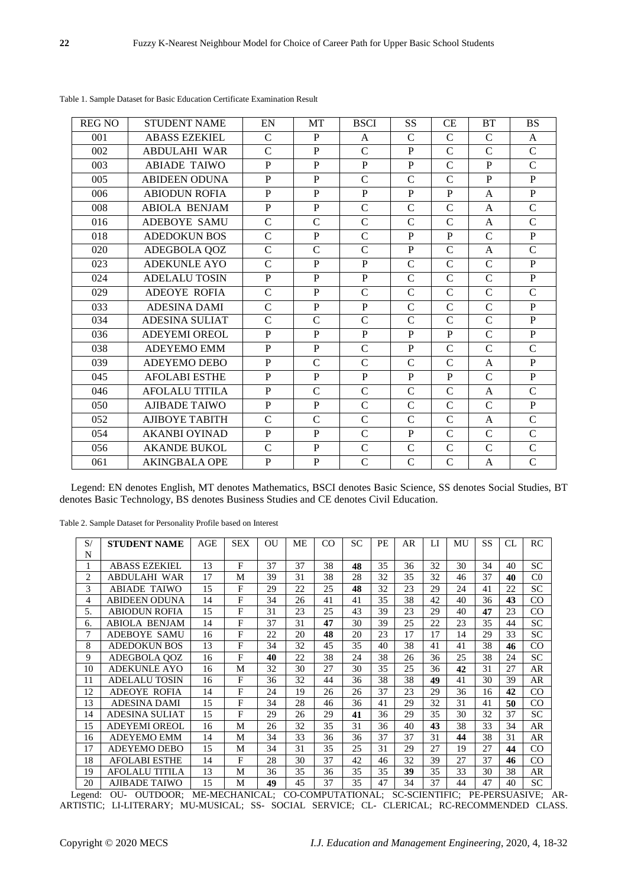| <b>REG NO</b> | <b>STUDENT NAME</b>   | EN             | <b>MT</b>      | <b>BSCI</b>    | SS            | <b>CE</b>      | <b>BT</b>     | <b>BS</b>      |
|---------------|-----------------------|----------------|----------------|----------------|---------------|----------------|---------------|----------------|
| 001           | <b>ABASS EZEKIEL</b>  | $\mathbf C$    | $\mathbf{P}$   | $\mathsf{A}$   | $\mathbf C$   | $\mathsf{C}$   | $\mathbf C$   | $\mathsf{A}$   |
| 002           | <b>ABDULAHI WAR</b>   | $\mathcal{C}$  | $\mathbf{P}$   | $\mathcal{C}$  | P             | $\mathsf{C}$   | $\mathcal{C}$ | $\mathcal{C}$  |
| 003           | <b>ABIADE TAIWO</b>   | P              | P              | P              | P             | $\mathsf{C}$   | P             | $\mathcal{C}$  |
| 005           | <b>ABIDEEN ODUNA</b>  | $\mathbf{P}$   | $\mathbf{P}$   | $\mathcal{C}$  | $\mathcal{C}$ | $\overline{C}$ | $\mathbf{P}$  | P              |
| 006           | <b>ABIODUN ROFIA</b>  | $\mathbf{P}$   | $\mathbf{P}$   | $\mathbf{P}$   | $\mathbf{P}$  | P              | $\mathsf{A}$  | $\mathbf{P}$   |
| 008           | <b>ABIOLA BENJAM</b>  | $\mathbf{P}$   | $\mathbf{P}$   | $\mathbf C$    | $\mathcal{C}$ | $\mathsf{C}$   | A             | $\mathbf C$    |
| 016           | ADEBOYE SAMU          | $\mathbf C$    | $\mathbf C$    | $\mathcal{C}$  | $\mathsf{C}$  | $\mathcal{C}$  | A             | $\mathcal{C}$  |
| 018           | <b>ADEDOKUN BOS</b>   | $\mathbf C$    | $\mathbf{P}$   | $\mathbf C$    | P             | P              | $\mathsf{C}$  | $\mathbf{P}$   |
| 020           | ADEGBOLA QOZ          | $\mathbf C$    | $\mathbf C$    | $\mathcal{C}$  | $\mathbf P$   | $\overline{C}$ | A             | $\mathbf C$    |
| 023           | <b>ADEKUNLE AYO</b>   | $\mathcal{C}$  | $\mathbf{P}$   | P              | $\mathcal{C}$ | $\mathsf{C}$   | $\mathcal{C}$ | $\mathbf{P}$   |
| 024           | <b>ADELALU TOSIN</b>  | $\mathbf{P}$   | P              | P              | $\mathsf{C}$  | $\mathcal{C}$  | $\mathcal{C}$ | $\mathbf{P}$   |
| 029           | <b>ADEOYE ROFIA</b>   | $\mathbf C$    | $\mathbf{P}$   | $\mathcal{C}$  | $\mathsf{C}$  | $\mathsf{C}$   | $\mathsf{C}$  | $\mathcal{C}$  |
| 033           | <b>ADESINA DAMI</b>   | $\mathcal{C}$  | $\mathbf{P}$   | $\mathbf{P}$   | $\mathsf{C}$  | $\mathsf{C}$   | $\mathcal{C}$ | P              |
| 034           | <b>ADESINA SULIAT</b> | $\overline{C}$ | $\overline{C}$ | $\overline{C}$ | $\mathcal{C}$ | $\mathsf{C}$   | $\mathbf C$   | $\overline{P}$ |
| 036           | <b>ADEYEMI OREOL</b>  | $\mathbf{P}$   | $\mathbf{P}$   | P              | P             | P              | $\mathcal{C}$ | $\mathbf{P}$   |
| 038           | <b>ADEYEMO EMM</b>    | $\mathbf{P}$   | $\mathbf{P}$   | $\mathcal{C}$  | $\mathbf{P}$  | $\mathbf C$    | $\mathsf{C}$  | $\mathcal{C}$  |
| 039           | ADEYEMO DEBO          | $\mathbf{P}$   | $\mathcal{C}$  | $\mathsf{C}$   | $\mathcal{C}$ | $\overline{C}$ | $\mathsf{A}$  | $\mathbf{P}$   |
| 045           | <b>AFOLABI ESTHE</b>  | $\mathbf{P}$   | $\mathbf{P}$   | P              | P             | P              | $\mathcal{C}$ | $\mathbf{P}$   |
| 046           | <b>AFOLALU TITILA</b> | $\mathbf{P}$   | $\mathcal{C}$  | $\mathcal{C}$  | $\mathcal{C}$ | $\overline{C}$ | $\mathsf{A}$  | $\mathcal{C}$  |
| 050           | <b>AJIBADE TAIWO</b>  | $\mathbf{P}$   | $\mathbf{P}$   | $\overline{C}$ | $\mathcal{C}$ | $\mathcal{C}$  | $\mathcal{C}$ | $\overline{P}$ |
| 052           | AJIBOYE TABITH        | $\mathbf C$    | $\mathcal{C}$  | $\mathcal{C}$  | $\mathcal{C}$ | $\overline{C}$ | $\mathsf{A}$  | $\mathcal{C}$  |
| 054           | <b>AKANBI OYINAD</b>  | $\mathbf{P}$   | $\mathbf{P}$   | $\mathcal{C}$  | P             | $\mathsf{C}$   | $\mathcal{C}$ | $\mathcal{C}$  |
| 056           | <b>AKANDE BUKOL</b>   | $\mathcal{C}$  | $\mathbf{P}$   | $\mathcal{C}$  | $\mathcal{C}$ | $\mathbf C$    | $\mathbf C$   | $\mathcal{C}$  |
| 061           | <b>AKINGBALA OPE</b>  | $\mathbf{P}$   | $\overline{P}$ | $\mathcal{C}$  | $\mathcal{C}$ | $\overline{C}$ | A             | $\overline{C}$ |

Table 1. Sample Dataset for Basic Education Certificate Examination Result

Legend: EN denotes English, MT denotes Mathematics, BSCI denotes Basic Science, SS denotes Social Studies, BT denotes Basic Technology, BS denotes Business Studies and CE denotes Civil Education.

Table 2. Sample Dataset for Personality Profile based on Interest

| S/ | <b>STUDENT NAME</b>   | AGE | SEX          | OU | ME | CO. | <b>SC</b> | PE | AR | LI | MU | SS | CL | RC             |
|----|-----------------------|-----|--------------|----|----|-----|-----------|----|----|----|----|----|----|----------------|
| N  |                       |     |              |    |    |     |           |    |    |    |    |    |    |                |
| 1  | <b>ABASS EZEKIEL</b>  | 13  | F            | 37 | 37 | 38  | 48        | 35 | 36 | 32 | 30 | 34 | 40 | <b>SC</b>      |
| 2  | <b>ABDULAHI WAR</b>   | 17  | M            | 39 | 31 | 38  | 28        | 32 | 35 | 32 | 46 | 37 | 40 | C <sub>0</sub> |
| 3  | <b>ABIADE TAIWO</b>   | 15  | F            | 29 | 22 | 25  | 48        | 32 | 23 | 29 | 24 | 41 | 22 | <b>SC</b>      |
| 4  | <b>ABIDEEN ODUNA</b>  | 14  | F            | 34 | 26 | 41  | 41        | 35 | 38 | 42 | 40 | 36 | 43 | CO             |
| 5. | <b>ABIODUN ROFIA</b>  | 15  | $\mathbf{F}$ | 31 | 23 | 25  | 43        | 39 | 23 | 29 | 40 | 47 | 23 | CO             |
| 6. | <b>ABIOLA BENJAM</b>  | 14  | F            | 37 | 31 | 47  | 30        | 39 | 25 | 22 | 23 | 35 | 44 | <b>SC</b>      |
| 7  | <b>ADEBOYE SAMU</b>   | 16  | $\mathbf{F}$ | 22 | 20 | 48  | 20        | 23 | 17 | 17 | 14 | 29 | 33 | <b>SC</b>      |
| 8  | <b>ADEDOKUN BOS</b>   | 13  | $\mathbf{F}$ | 34 | 32 | 45  | 35        | 40 | 38 | 41 | 41 | 38 | 46 | CO             |
| 9  | ADEGBOLA OOZ          | 16  | F            | 40 | 22 | 38  | 24        | 38 | 26 | 36 | 25 | 38 | 24 | <b>SC</b>      |
| 10 | <b>ADEKUNLE AYO</b>   | 16  | M            | 32 | 30 | 27  | 30        | 35 | 25 | 36 | 42 | 31 | 27 | AR             |
| 11 | ADELALU TOSIN         | 16  | F            | 36 | 32 | 44  | 36        | 38 | 38 | 49 | 41 | 30 | 39 | AR             |
| 12 | <b>ADEOYE ROFIA</b>   | 14  | $\mathbf{F}$ | 24 | 19 | 26  | 26        | 37 | 23 | 29 | 36 | 16 | 42 | CO             |
| 13 | <b>ADESINA DAMI</b>   | 15  | $\mathbf{F}$ | 34 | 28 | 46  | 36        | 41 | 29 | 32 | 31 | 41 | 50 | CO             |
| 14 | ADESINA SULIAT        | 15  | F            | 29 | 26 | 29  | 41        | 36 | 29 | 35 | 30 | 32 | 37 | <b>SC</b>      |
| 15 | <b>ADEYEMI OREOL</b>  | 16  | M            | 26 | 32 | 35  | 31        | 36 | 40 | 43 | 38 | 33 | 34 | AR             |
| 16 | <b>ADEYEMO EMM</b>    | 14  | M            | 34 | 33 | 36  | 36        | 37 | 37 | 31 | 44 | 38 | 31 | AR             |
| 17 | <b>ADEYEMO DEBO</b>   | 15  | M            | 34 | 31 | 35  | 25        | 31 | 29 | 27 | 19 | 27 | 44 | CO             |
| 18 | <b>AFOLABI ESTHE</b>  | 14  | F            | 28 | 30 | 37  | 42        | 46 | 32 | 39 | 27 | 37 | 46 | CO             |
| 19 | <b>AFOLALU TITILA</b> | 13  | M            | 36 | 35 | 36  | 35        | 35 | 39 | 35 | 33 | 30 | 38 | AR             |
| 20 | <b>AJIBADE TAIWO</b>  | 15  | М            | 49 | 45 | 37  | 35        | 47 | 34 | 37 | 44 | 47 | 40 | <b>SC</b>      |

Legend: OU- OUTDOOR; ME-MECHANICAL; CO-COMPUTATIONAL; SC-SCIENTIFIC; PE-PERSUASIVE; AR-ARTISTIC; LI-LITERARY; MU-MUSICAL; SS- SOCIAL SERVICE; CL- CLERICAL; RC-RECOMMENDED CLASS.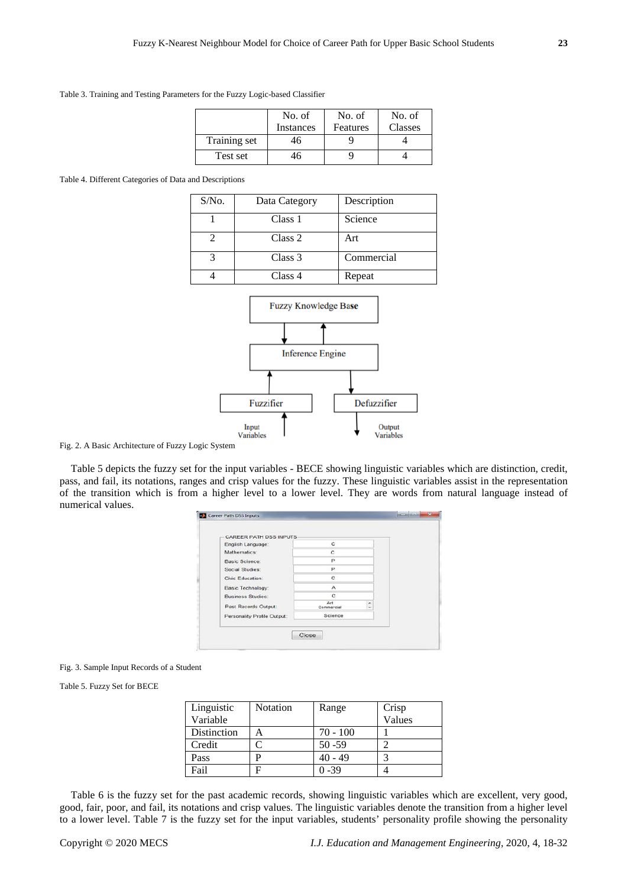Table 3. Training and Testing Parameters for the Fuzzy Logic-based Classifier

|              | No. of<br>Instances | No. of<br>Features | No. of<br>Classes |
|--------------|---------------------|--------------------|-------------------|
| Training set | 46                  |                    |                   |
| Test set     | ŀh                  |                    |                   |

Table 4. Different Categories of Data and Descriptions

| $S/N0$ . | Data Category | Description |
|----------|---------------|-------------|
|          | Class 1       | Science     |
|          | Class 2       | Art         |
|          | Class 3       | Commercial  |
|          | Class 4       | Repeat      |



Fig. 2. A Basic Architecture of Fuzzy Logic System

Table 5 depicts the fuzzy set for the input variables - BECE showing linguistic variables which are distinction, credit, pass, and fail, its notations, ranges and crisp values for the fuzzy. These linguistic variables assist in the representation of the transition which is from a higher level to a lower level. They are words from natural language instead of numerical values.

| <b>CAREER PATH DSS INPUTS</b> |                   |                               |  |
|-------------------------------|-------------------|-------------------------------|--|
| English Language:             | C                 |                               |  |
| Mathematics:                  | C                 |                               |  |
| Basic Science:                | P                 |                               |  |
| Social Studies:               | P                 |                               |  |
| Civic Education:              | C                 |                               |  |
| <b>Basic Technology:</b>      | А                 |                               |  |
| Business Studies:             | c                 |                               |  |
| Past Records Output:          | Art<br>Commercial | ۰<br>$\overline{\phantom{a}}$ |  |
| Personality Profile Output:   | Science           |                               |  |

Fig. 3. Sample Input Records of a Student

Table 5. Fuzzy Set for BECE

| Linguistic  | <b>Notation</b> | Range      | Crisp  |
|-------------|-----------------|------------|--------|
| Variable    |                 |            | Values |
| Distinction |                 | $70 - 100$ |        |
| Credit      |                 | $50 - 59$  |        |
| Pass        |                 | 40 - 49    |        |
| Fail        | Е               | ) -39      |        |

Table 6 is the fuzzy set for the past academic records, showing linguistic variables which are excellent, very good, good, fair, poor, and fail, its notations and crisp values. The linguistic variables denote the transition from a higher level to a lower level. Table 7 is the fuzzy set for the input variables, students' personality profile showing the personality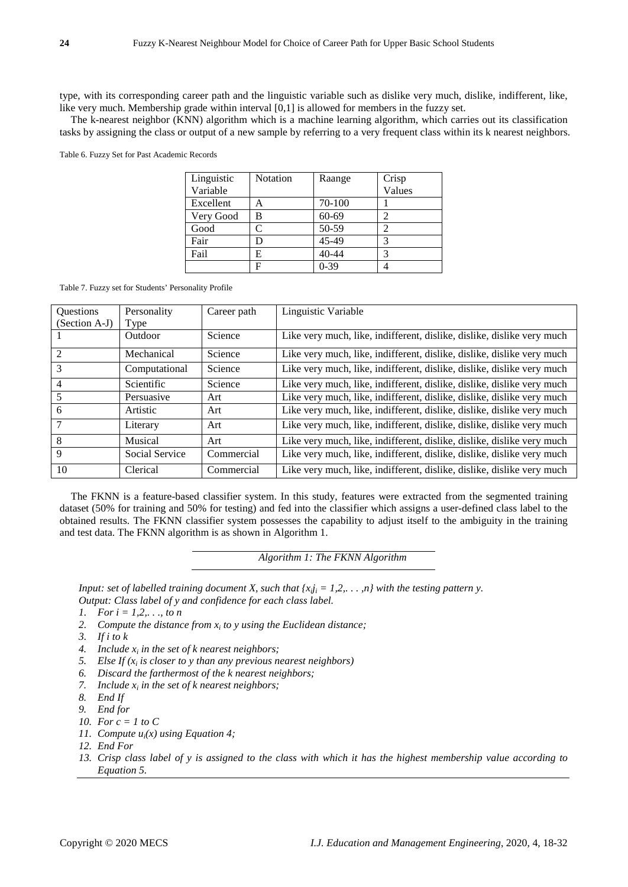type, with its corresponding career path and the linguistic variable such as dislike very much, dislike, indifferent, like, like very much. Membership grade within interval [0,1] is allowed for members in the fuzzy set.

The k-nearest neighbor (KNN) algorithm which is a machine learning algorithm, which carries out its classification tasks by assigning the class or output of a new sample by referring to a very frequent class within its k nearest neighbors.

Table 6. Fuzzy Set for Past Academic Records

| Linguistic<br>Variable | <b>Notation</b> | Raange | Crisp<br>Values |
|------------------------|-----------------|--------|-----------------|
| Excellent              |                 | 70-100 |                 |
| Very Good              | В               | 60-69  | っ               |
| Good                   | C               | 50-59  |                 |
| Fair                   | D               | 45-49  | 3               |
| Fail                   | E               | 40-44  | 3               |
|                        | F               | $0-39$ |                 |

Table 7. Fuzzy set for Students' Personality Profile

| Questions      | Personality    | Career path | Linguistic Variable                                                    |
|----------------|----------------|-------------|------------------------------------------------------------------------|
| (Section A-J)  | Type           |             |                                                                        |
|                | <b>Outdoor</b> | Science     | Like very much, like, indifferent, dislike, dislike, dislike very much |
| $\mathfrak{D}$ | Mechanical     | Science     | Like very much, like, indifferent, dislike, dislike, dislike very much |
| 3              | Computational  | Science     | Like very much, like, indifferent, dislike, dislike, dislike very much |
| 4              | Scientific     | Science     | Like very much, like, indifferent, dislike, dislike, dislike very much |
| 5              | Persuasive     | Art         | Like very much, like, indifferent, dislike, dislike, dislike very much |
| 6              | Artistic       | Art         | Like very much, like, indifferent, dislike, dislike, dislike very much |
|                | Literary       | Art         | Like very much, like, indifferent, dislike, dislike, dislike very much |
| 8              | Musical        | Art         | Like very much, like, indifferent, dislike, dislike, dislike very much |
| 9              | Social Service | Commercial  | Like very much, like, indifferent, dislike, dislike, dislike very much |
| 10             | Clerical       | Commercial  | Like very much, like, indifferent, dislike, dislike, dislike very much |

The FKNN is a feature-based classifier system. In this study, features were extracted from the segmented training dataset (50% for training and 50% for testing) and fed into the classifier which assigns a user-defined class label to the obtained results. The FKNN classifier system possesses the capability to adjust itself to the ambiguity in the training and test data. The FKNN algorithm is as shown in Algorithm 1.

*Algorithm 1: The FKNN Algorithm*

*Input: set of labelled training document X, such that*  $\{x_{ij} = 1, 2, \ldots, n\}$  *with the testing pattern y. Output: Class label of y and confidence for each class label.*

- *1. For i = 1,2,. . ., to n*
- 2. *Compute the distance from*  $x_i$  *to*  $y$  *using the Euclidean distance;*
- *3. If i to k*
- 4. Include  $x_i$  *in the set of k nearest neighbors;*
- *5. Else If (xi is closer to y than any previous nearest neighbors)*
- *6. Discard the farthermost of the k nearest neighbors;*
- *7. Include*  $x_i$  *in the set of k nearest neighbors;*
- *8. End If*
- *9. End for*
- *10. For c = 1 to C*
- *11. Compute ui(x) using Equation 4;*
- *12. End For*
- *13. Crisp class label of y is assigned to the class with which it has the highest membership value according to Equation 5.*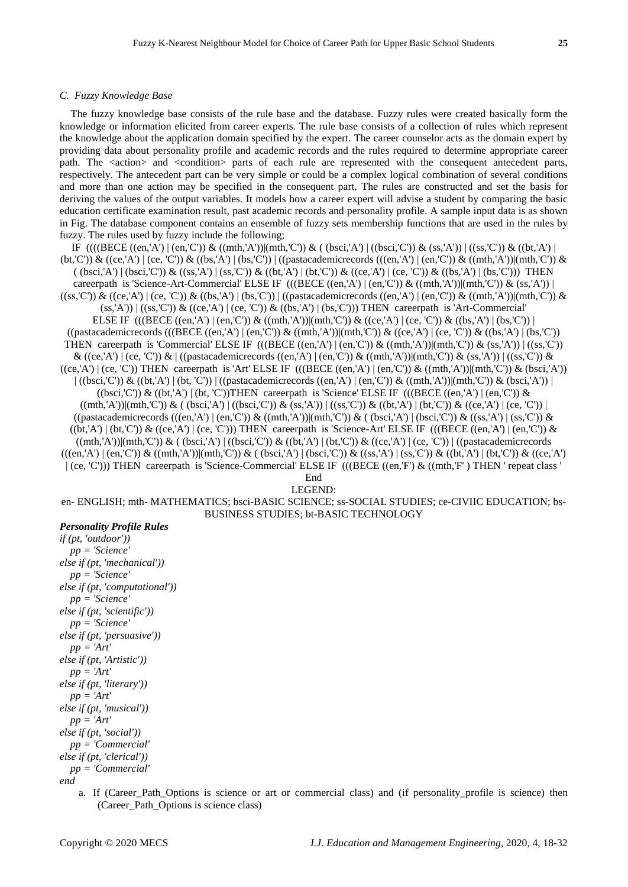#### *C. Fuzzy Knowledge Base*

The fuzzy knowledge base consists of the rule base and the database. Fuzzy rules were created basically form the knowledge or information elicited from career experts. The rule base consists of a collection of rules which represent the knowledge about the application domain specified by the expert. The career counselor acts as the domain expert by providing data about personality profile and academic records and the rules required to determine appropriate career path. The  $\le$  action  $\ge$  and  $\le$  condition  $\ge$  parts of each rule are represented with the consequent antecedent parts, respectively. The antecedent part can be very simple or could be a complex logical combination of several conditions and more than one action may be specified in the consequent part. The rules are constructed and set the basis for deriving the values of the output variables. It models how a career expert will advise a student by comparing the basic education certificate examination result, past academic records and personality profile. A sample input data is as shown in Fig. The database component contains an ensemble of fuzzy sets membership functions that are used in the rules by fuzzy. The rules used by fuzzy include the following;

IF ((((BECE ((en,'A') | (en,'C')) & ((mth,'A'))|(mth,'C')) & ( (bsci,'A') | ((bsci,'C')) & (ss,'A')) | ((ss,'C')) & ((bt,'A') | (bt,'C')) & ((ce,'A') | (ce, 'C')) & ((bs,'A') | (bs,'C')) | ((pastacademicrecords (((en,'A') | (en,'C')) & ((mth,'A'))|(mth,'C')) &  $((bsci, A') | (bsci, C')) \& ((ss, A') | (ss, C')) \& ((bt, A') | (bt, C')) \& ((ce, A') | (ce, C')) \& ((bs, A') | (bs, C'))$  THEN careerpath is 'Science-Art-Commercial' ELSE IF  $((BECE ((en, A') | (en, 'C')) \& (mth, 'A')) | (mth, 'C')) \& (ss, 'A'))$  $((ss,C')) \& ((ce,A') | (ce,C')) \& ((bs,A') | (bs,C')) | ((pastacademicrecords ((en,A') | (en,C')) \& ((mth,A')) | (mth,C')) \& (s,ds') | (s,ds') | (s,ds') | (s,ds') | (s,ds') | (s,ds') | (s,ds') | (s,ds') | (s,ds') | (s,ds') | (s,ds') | (s,ds') | (s,ds') | (s,ds') | (s,ds') | (s,ds') | (s,ds') | (s,ds') | (s,ds') | (s,ds') | (s,ds') | (s,ds') | (s,ds') | (s,ds') | (s,ds') | (s,ds') | (s,ds') | ($  $(s, A')$   $((ss, C'))$  &  $((ce, A') (ce, 'C'))$  &  $((bs, A') (bs, 'C'))$  THEN careerpath is 'Art-Commercial' ELSE IF  $(((BECE ((en, 'A') | (en, 'C')) & ((mth, 'A'))|(mth, 'C')) & ((ce, 'A') | (ce, 'C')) & ((bs, 'A') | (bs, 'C'))$  $((\text{pastacademicrecords } (((\text{BECE } ((\text{en}, 'A') \mid (\text{en}, 'C')) \& ((\text{nth}, 'A')) | (\text{mt}, 'C')) \& ((\text{ce}, 'A') \mid (\text{ce}, 'C')) \& ((\text{bs}, 'A') \mid (\text{bs}, 'C'))$ THEN careerpath is 'Commercial' ELSE IF  $(((BECE ((en, A') | (en, 'C')) & ((mth, 'A')) | (mth, 'C')) & (ss, 'A')) | ((ss, 'C'))$  $\&$  ((ce,'A') | (ce, 'C'))  $\&$  | ((pastacademicrecords ((en,'A') | (en,'C'))  $\&$  ((mth,'A'))|(mth,'C'))  $\&$  (ss,'A')) | ((ss,'C'))  $\&$  $((ce, A') | (ce, 'C'))$  THEN careerpath is 'Art' ELSE IF  $(((BECE ((en, 'A') | (en, 'C')) & ((mth, 'A')) | (mth, 'C')) & (bsci, 'A')')$  $\left| \right. \left( \left( \frac{\partial \text{c}}{\partial x}, \mathcal{C}' \right) \right) \& \left( \left( \text{bt}, \mathcal{A}' \right) \right) \left| \right. \left( \text{pt}, \mathcal{C}' \right) \right) \right|$  ((pastacademicrecords  $\left( \left( \text{en}, \mathcal{A}' \right) \right) \left( \text{en}, \mathcal{C}' \right) \& \left( \left( \text{mt}, \mathcal{A}' \right) \right) \left( \text{mt}, \mathcal{C}' \right) \& \left( \text{bsci}, \mathcal{A}' \right) \right$  $((bsci.C')) \& ((bt, A') | (bt, 'C'))$ THEN careerpath is 'Science' ELSE IF  $(((BECE ((en, 'A') | (en, 'C')) \& )$  $((\text{mth},\text{A}'))|(\text{mth},\text{C}))$  &  $((\text{bsci},\text{A}')|((\text{bsci},\text{C}'))$  &  $(\text{ss},\text{A}'))|((\text{ss},\text{C}'))$  &  $((\text{bt},\text{A}')|(\text{bt},\text{C}'))$  &  $((\text{ce},\text{A}')|(\text{ce},\text{C}'))$  $((\text{pastacademicrecords } (((en, 'A') \mid (en, 'C')) \& ((mth, 'A')) | (mth, 'C')) \& ((bsci, 'A') \mid (bsci, 'C')) \& ((ss, 'A') \mid (ss, 'C')) \& ((ss, 'A') \mid (ss, 'C'))$  $((bt, A') | (bt, C')) \& ((ce, A') | (ce, C'))$  THEN careerpath is 'Science-Art' ELSE IF  $(((BECE ((en, A') | (en, C')) \& (en, C'))$  $((\text{mth},\text{'A'}))|(\text{mth},\text{'C'}))$  &  $((\text{bsci},\text{'A'})|((\text{bsci},\text{'C'}))$  &  $((\text{bt},\text{'A'})|(\text{bt},\text{'C'}))$   $((\text{ce},\text{'A'})|(\text{ce},\text{'C'}))|((\text{pastacademicrecords})$  $(((en, A') | (en, C')) \& ((mth, 'A')) | (mth, 'C')) \& (bsc, 'A') | (bsc, 'C')) \& ((ss, 'A') | (ss, 'C')) \& (b, 'A') | (bt, 'C')) \& ((ce, 'A') | (b, 'C'))$ | (ce, 'C'))) THEN careerpath is 'Science-Commercial' ELSE IF (((BECE ((en,'F') & ((mth,'F' ) THEN ' repeat class ' End

LEGEND:

en- ENGLISH; mth- MATHEMATICS; bsci-BASIC SCIENCE; ss-SOCIAL STUDIES; ce-CIVIIC EDUCATION; bs-BUSINESS STUDIES; bt-BASIC TECHNOLOGY

# *Personality Profile Rules*

*if (pt, 'outdoor')) pp = 'Science' else if (pt, 'mechanical')) pp = 'Science' else if (pt, 'computational')) pp = 'Science' else if (pt, 'scientific')) pp = 'Science' else if (pt, 'persuasive')) pp = 'Art' else if (pt, 'Artistic')) pp = 'Art' else if (pt, 'literary')) pp = 'Art' else if (pt, 'musical')) pp = 'Art' else if (pt, 'social')) pp = 'Commercial' else if (pt, 'clerical')) pp = 'Commercial' end*

a. If (Career\_Path\_Options is science or art or commercial class) and (if personality\_profile is science) then (Career\_Path\_Options is science class)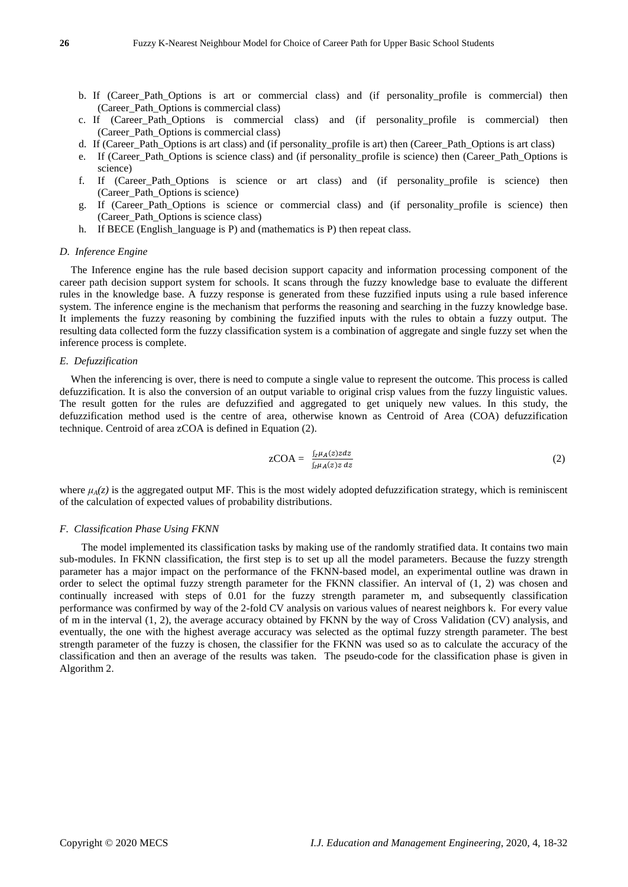- b. If (Career\_Path\_Options is art or commercial class) and (if personality\_profile is commercial) then (Career\_Path\_Options is commercial class)
- c. If (Career\_Path\_Options is commercial class) and (if personality\_profile is commercial) then (Career\_Path\_Options is commercial class)
- d. If (Career\_Path\_Options is art class) and (if personality\_profile is art) then (Career\_Path\_Options is art class)
- e. If (Career\_Path\_Options is science class) and (if personality\_profile is science) then (Career\_Path\_Options is science)
- f. If (Career Path Options is science or art class) and (if personality profile is science) then (Career\_Path\_Options is science)
- g. If (Career\_Path\_Options is science or commercial class) and (if personality\_profile is science) then (Career\_Path\_Options is science class)
- h. If BECE (English language is P) and (mathematics is P) then repeat class.

## *D. Inference Engine*

The Inference engine has the rule based decision support capacity and information processing component of the career path decision support system for schools. It scans through the fuzzy knowledge base to evaluate the different rules in the knowledge base. A fuzzy response is generated from these fuzzified inputs using a rule based inference system. The inference engine is the mechanism that performs the reasoning and searching in the fuzzy knowledge base. It implements the fuzzy reasoning by combining the fuzzified inputs with the rules to obtain a fuzzy output. The resulting data collected form the fuzzy classification system is a combination of aggregate and single fuzzy set when the inference process is complete.

## *E. Defuzzification*

When the inferencing is over, there is need to compute a single value to represent the outcome. This process is called defuzzification. It is also the conversion of an output variable to original crisp values from the fuzzy linguistic values. The result gotten for the rules are defuzzified and aggregated to get uniquely new values. In this study, the defuzzification method used is the centre of area, otherwise known as Centroid of Area (COA) defuzzification technique. Centroid of area zCOA is defined in Equation (2).

$$
zCOA = \frac{\int_{z\mu_{A}}(z)zdz}{\int_{z\mu_{A}}(z)z dz}
$$
 (2)

where  $\mu_A(z)$  is the aggregated output MF. This is the most widely adopted defuzzification strategy, which is reminiscent of the calculation of expected values of probability distributions.

## *F. Classification Phase Using FKNN*

 The model implemented its classification tasks by making use of the randomly stratified data. It contains two main sub-modules. In FKNN classification, the first step is to set up all the model parameters. Because the fuzzy strength parameter has a major impact on the performance of the FKNN-based model, an experimental outline was drawn in order to select the optimal fuzzy strength parameter for the FKNN classifier. An interval of (1, 2) was chosen and continually increased with steps of 0.01 for the fuzzy strength parameter m, and subsequently classification performance was confirmed by way of the 2-fold CV analysis on various values of nearest neighbors k. For every value of m in the interval (1, 2), the average accuracy obtained by FKNN by the way of Cross Validation (CV) analysis, and eventually, the one with the highest average accuracy was selected as the optimal fuzzy strength parameter. The best strength parameter of the fuzzy is chosen, the classifier for the FKNN was used so as to calculate the accuracy of the classification and then an average of the results was taken. The pseudo-code for the classification phase is given in Algorithm 2.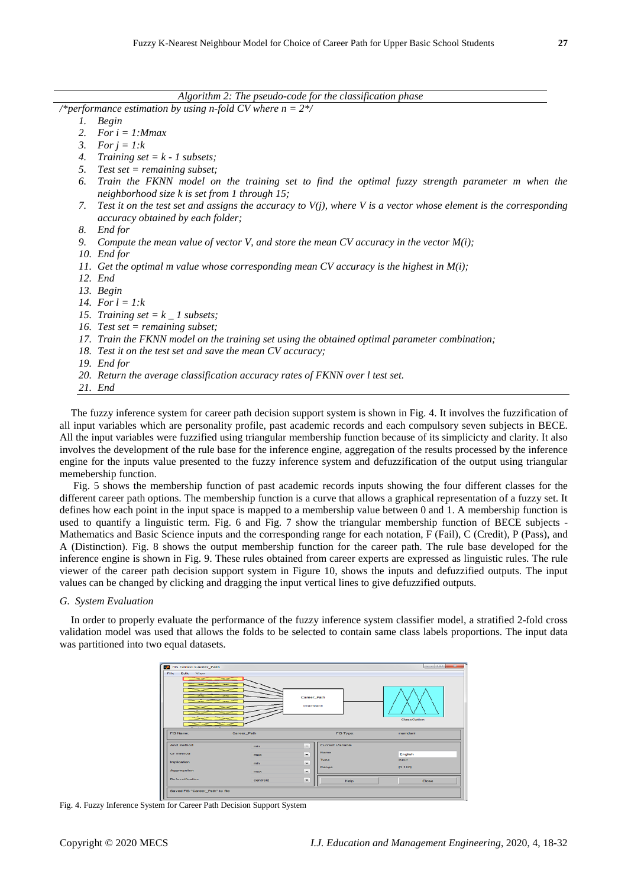|    | Algorithm 2: The pseudo-code for the classification phase                                                                                                |
|----|----------------------------------------------------------------------------------------------------------------------------------------------------------|
|    | /*performance estimation by using n-fold CV where $n = 2$ */                                                                                             |
| 1. | <b>Begin</b>                                                                                                                                             |
| 2. | For $i = 1$ : Mmax                                                                                                                                       |
| 3. | For $j = 1:k$                                                                                                                                            |
| 4. | Training set = $k - 1$ subsets;                                                                                                                          |
| 5. | Test set $=$ remaining subset;                                                                                                                           |
| 6. | Train the FKNN model on the training set to find the optimal fuzzy strength parameter m when the<br>neighborhood size $k$ is set from 1 through 15;      |
| 7. | Test it on the test set and assigns the accuracy to $V(j)$ , where V is a vector whose element is the corresponding<br>accuracy obtained by each folder; |
| 8. | End for                                                                                                                                                  |
| 9. | Compute the mean value of vector V, and store the mean CV accuracy in the vector $M(i)$ ;                                                                |
|    | 10. End for                                                                                                                                              |
|    | 11. Get the optimal m value whose corresponding mean CV accuracy is the highest in $M(i)$ ;                                                              |
|    | 12. End                                                                                                                                                  |
|    | 13. Begin                                                                                                                                                |
|    | 14. For $l = l$ : $k$                                                                                                                                    |
|    | 15. Training set = $k_l$ subsets;                                                                                                                        |
|    | 16. Test set $=$ remaining subset;                                                                                                                       |
|    | 17. Train the FKNN model on the training set using the obtained optimal parameter combination;                                                           |
|    | 18. Test it on the test set and save the mean CV accuracy;                                                                                               |
|    | 19. End for                                                                                                                                              |
|    | 20. Return the average classification accuracy rates of FKNN over I test set.                                                                            |
|    | 21. End                                                                                                                                                  |

The fuzzy inference system for career path decision support system is shown in Fig. 4. It involves the fuzzification of all input variables which are personality profile, past academic records and each compulsory seven subjects in BECE. All the input variables were fuzzified using triangular membership function because of its simplicicty and clarity. It also involves the development of the rule base for the inference engine, aggregation of the results processed by the inference engine for the inputs value presented to the fuzzy inference system and defuzzification of the output using triangular memebership function.

Fig. 5 shows the membership function of past academic records inputs showing the four different classes for the different career path options. The membership function is a curve that allows a graphical representation of a fuzzy set. It defines how each point in the input space is mapped to a membership value between 0 and 1. A membership function is used to quantify a linguistic term. Fig. 6 and Fig. 7 show the triangular membership function of BECE subjects - Mathematics and Basic Science inputs and the corresponding range for each notation, F (Fail), C (Credit), P (Pass), and A (Distinction). Fig. 8 shows the output membership function for the career path. The rule base developed for the inference engine is shown in Fig. 9. These rules obtained from career experts are expressed as linguistic rules. The rule viewer of the career path decision support system in Figure 10, shows the inputs and defuzzified outputs. The input values can be changed by clicking and dragging the input vertical lines to give defuzzified outputs.

#### *G. System Evaluation*

In order to properly evaluate the performance of the fuzzy inference system classifier model, a stratified 2-fold cross validation model was used that allows the folds to be selected to contain same class labels proportions. The input data was partitioned into two equal datasets.



Fig. 4. Fuzzy Inference System for Career Path Decision Support System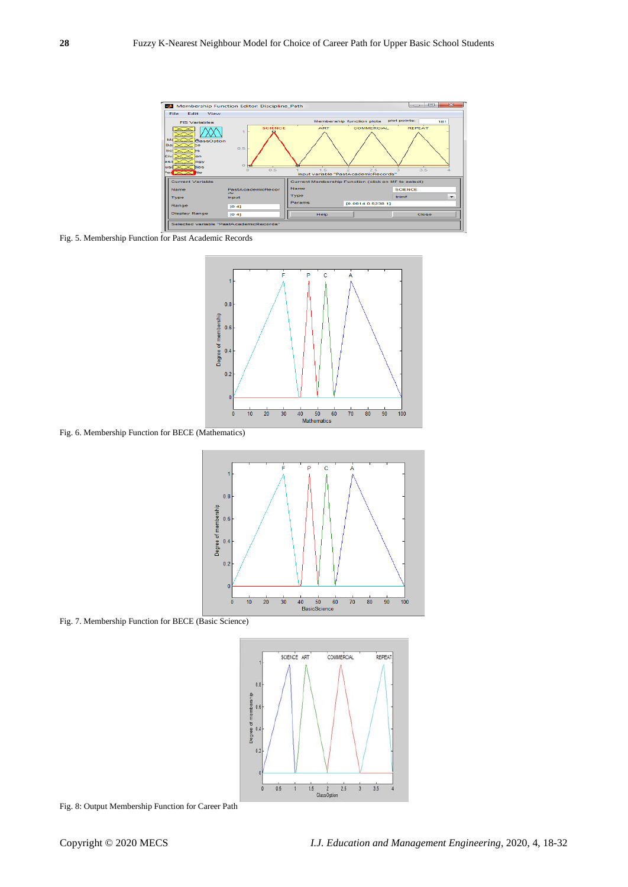

Fig. 5. Membership Function for Past Academic Records



Fig. 6. Membership Function for BECE (Mathematics)



Fig. 7. Membership Function for BECE (Basic Science)



Fig. 8: Output Membership Function for Career Path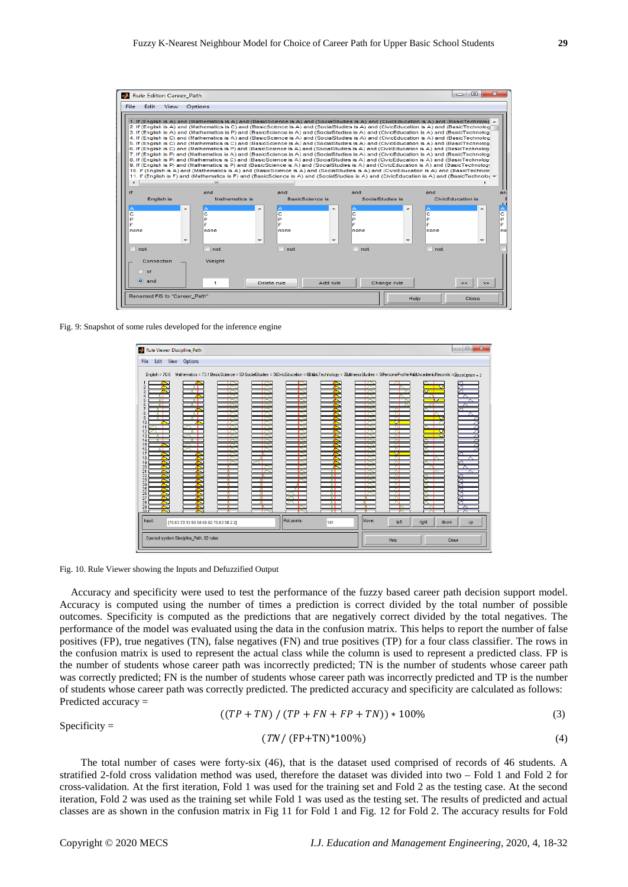

Fig. 9: Snapshot of some rules developed for the inference engine

|                                    | Rule Viewer: Discipline_Path |                                         |               |               |                |                |               |             |                                                                                                                                                                     | $\Box$ $\Box$<br>$\mathbf{x}$ |
|------------------------------------|------------------------------|-----------------------------------------|---------------|---------------|----------------|----------------|---------------|-------------|---------------------------------------------------------------------------------------------------------------------------------------------------------------------|-------------------------------|
| File                               | Edit<br>View                 | <b>Options</b>                          |               |               |                |                |               |             |                                                                                                                                                                     |                               |
|                                    | English = $70.6$             |                                         |               |               |                |                |               |             | Methematics = 73.1 BasicScience = 50 SocialStudies = 500ivicEducation = 6BesicTechnology = ZBL&inessStudies = 5@ersonalProfile Re&tAcademicRecords = @assOption = 2 |                               |
| $\overline{2}$<br>3                |                              | AП<br>$\sqrt{2}$                        | 17<br>↜<br>r∼ |               |                |                | ™<br>r        | ∼           |                                                                                                                                                                     | ↗                             |
| 4<br>5                             | A.<br>ਨਾ                     |                                         | ⌒<br>i A      | ⌒<br>⌒        |                |                | $\sim$<br>I A | г.<br>≂     | ਨਾ<br>↽                                                                                                                                                             | $\bar{\phantom{1}}$           |
| 6<br>7<br>8                        | ਨਾ<br>$\pi^-$<br>┰┑          | ᡵ᠇                                      | П<br>┳        | r≂<br>┍<br>ឃ  | T              |                | ┯<br>17<br>┯  | ᇧ<br>ᇧ      | ᆏ<br>™                                                                                                                                                              |                               |
| $\overline{9}$<br>10               | ⊼ा                           | ┰┓                                      | ┳<br>ឃ<br>┳   | ᅑ<br>ਢ<br>┳   | ‴<br><b>In</b> |                | ™<br>₩<br>77  | ⊼<br>₩<br>ᇧ |                                                                                                                                                                     |                               |
| 11<br>12<br>13                     | $\pi^-$                      |                                         | ┳<br>r        | ┳<br>┏        | T.             |                | ┳<br>┮        | ᄌ<br>저      | ▽                                                                                                                                                                   |                               |
| 14<br>15<br>16                     |                              |                                         | ឃ<br>r<br>r   | ↽<br>⊢<br>r   | T              |                | ┯<br>17<br>7  | ᇧ<br>ᇧ<br>ᅑ |                                                                                                                                                                     |                               |
| 17<br>18                           |                              |                                         | r<br>r        | ĸ<br>-41<br>ᅑ | r<br>r<br>₩    | 73<br>73       | r<br>┳<br>ᅲ   | ज<br>ᅐ      | ™                                                                                                                                                                   |                               |
| 19<br>20<br>$\overline{21}$        |                              |                                         | ┳<br>w        | 17            | T              | 73<br>71<br>ᇧ  | ┳<br>┯        | ឃ<br>ᇧ<br>⇁ | w                                                                                                                                                                   |                               |
| $\overline{2}2$<br>23<br>24        |                              |                                         | ĸ             | W             | ₹              | ᇧ<br>ᅐ<br>ᇧ    | ┯<br>17<br>┳  | ᇧ<br>ᅑ<br>⌒ |                                                                                                                                                                     |                               |
| $\overline{25}$<br>$\overline{26}$ |                              |                                         | T<br>R        | -4<br>- 41    | ЖI             | ᇧ<br>रा        | ┳<br>77       | ᅑ<br>ᇧ      |                                                                                                                                                                     |                               |
| 27<br>28<br>29                     |                              |                                         |               | и             |                | रा<br>⊼ा<br>ਨਾ | ҡ<br>₹<br>т   | ᇧ<br>ᅑ<br>↖ | ᅑ                                                                                                                                                                   | 罓<br>79                       |
| 30.<br>Input:                      |                              |                                         |               | ↜             | Plot points:   | ਨਾ             | Move:         |             |                                                                                                                                                                     |                               |
|                                    |                              | [70.63 73.13 50 50 60.62 70.63 50 2 2]  |               |               |                | 101            |               | left        | right<br>down                                                                                                                                                       | <b>UD</b>                     |
|                                    |                              | Opened system Discipline_Path, 82 rules |               |               |                |                |               | Help        |                                                                                                                                                                     | Close                         |

Fig. 10. Rule Viewer showing the Inputs and Defuzzified Output

Accuracy and specificity were used to test the performance of the fuzzy based career path decision support model. Accuracy is computed using the number of times a prediction is correct divided by the total number of possible outcomes. Specificity is computed as the predictions that are negatively correct divided by the total negatives. The performance of the model was evaluated using the data in the confusion matrix. This helps to report the number of false positives (FP), true negatives (TN), false negatives (FN) and true positives (TP) for a four class classifier. The rows in the confusion matrix is used to represent the actual class while the column is used to represent a predicted class. FP is the number of students whose career path was incorrectly predicted; TN is the number of students whose career path was correctly predicted; FN is the number of students whose career path was incorrectly predicted and TP is the number of students whose career path was correctly predicted. The predicted accuracy and specificity are calculated as follows: Predicted accuracy =

$$
((TP + TN) / (TP + FN + FP + TN)) * 100\% \tag{3}
$$

 $Specificity =$ 

$$
(TN/(FP+TN)^*100\%)
$$
 (4)

The total number of cases were forty-six (46), that is the dataset used comprised of records of 46 students. A stratified 2-fold cross validation method was used, therefore the dataset was divided into two – Fold 1 and Fold 2 for cross-validation. At the first iteration, Fold 1 was used for the training set and Fold 2 as the testing case. At the second iteration, Fold 2 was used as the training set while Fold 1 was used as the testing set. The results of predicted and actual classes are as shown in the confusion matrix in Fig 11 for Fold 1 and Fig. 12 for Fold 2. The accuracy results for Fold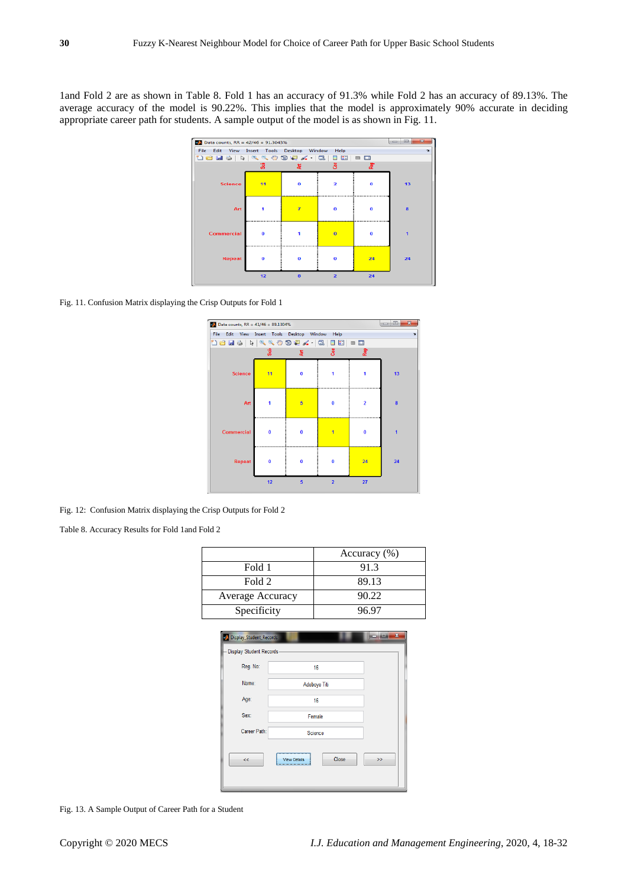1and Fold 2 are as shown in Table 8. Fold 1 has an accuracy of 91.3% while Fold 2 has an accuracy of 89.13%. The average accuracy of the model is 90.22%. This implies that the model is approximately 90% accurate in deciding appropriate career path for students. A sample output of the model is as shown in Fig. 11.



Fig. 11. Confusion Matrix displaying the Crisp Outputs for Fold 1



Fig. 12: Confusion Matrix displaying the Crisp Outputs for Fold 2

Table 8. Accuracy Results for Fold 1and Fold 2

|                  | Accuracy $(\%)$ |
|------------------|-----------------|
| Fold 1           | 91.3            |
| Fold 2           | 89.13           |
| Average Accuracy | 90.22           |
| Specificity      | 96.97           |

| Display_Student_Records  |                              | X             |
|--------------------------|------------------------------|---------------|
| Display Student Records- |                              |               |
| Reg. No:                 | 16                           |               |
| Name:                    | Adeboye Titi                 |               |
| Age:                     | 16                           |               |
| Sex:                     | Female                       |               |
| Career Path:             | Science                      |               |
| $\ll$                    | Close<br><b>View Details</b> | $\rightarrow$ |
|                          |                              |               |

Fig. 13. A Sample Output of Career Path for a Student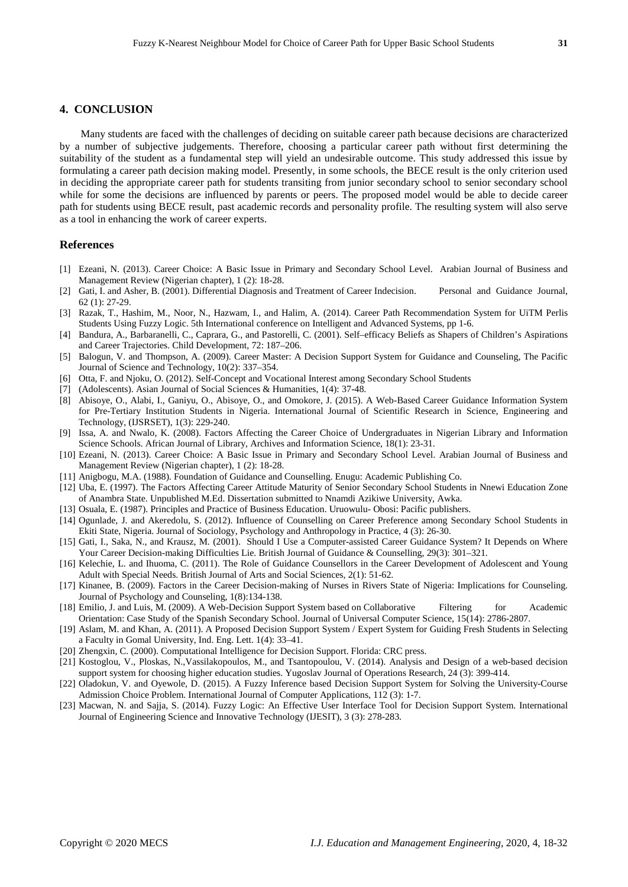## **4. CONCLUSION**

Many students are faced with the challenges of deciding on suitable career path because decisions are characterized by a number of subjective judgements. Therefore, choosing a particular career path without first determining the suitability of the student as a fundamental step will yield an undesirable outcome. This study addressed this issue by formulating a career path decision making model. Presently, in some schools, the BECE result is the only criterion used in deciding the appropriate career path for students transiting from junior secondary school to senior secondary school while for some the decisions are influenced by parents or peers. The proposed model would be able to decide career path for students using BECE result, past academic records and personality profile. The resulting system will also serve as a tool in enhancing the work of career experts.

## **References**

- [1] Ezeani, N. (2013). Career Choice: A Basic Issue in Primary and Secondary School Level. Arabian Journal of Business and Management Review (Nigerian chapter), 1 (2): 18-28.
- [2] Gati, I. and Asher, B. (2001). Differential Diagnosis and Treatment of Career Indecision. Personal and Guidance Journal, 62 (1): 27-29.
- [3] Razak, T., Hashim, M., Noor, N., Hazwam, I., and Halim, A. (2014). Career Path Recommendation System for UiTM Perlis Students Using Fuzzy Logic. 5th International conference on Intelligent and Advanced Systems, pp 1-6.
- [4] Bandura, A., Barbaranelli, C., Caprara, G., and Pastorelli, C. (2001). Self–efficacy Beliefs as Shapers of Children's Aspirations and Career Trajectories. Child Development, 72: 187–206.
- [5] Balogun, V. and Thompson, A. (2009). Career Master: A Decision Support System for Guidance and Counseling, The Pacific Journal of Science and Technology, 10(2): 337–354.
- [6] Otta, F. and Njoku, O. (2012). Self-Concept and Vocational Interest among Secondary School Students
- [7] (Adolescents). Asian Journal of Social Sciences & Humanities, 1(4): 37-48.
- [8] Abisoye, O., Alabi, I., Ganiyu, O., Abisoye, O., and Omokore, J. (2015). A Web-Based Career Guidance Information System for Pre-Tertiary Institution Students in Nigeria. International Journal of Scientific Research in Science, Engineering and Technology, (IJSRSET), 1(3): 229-240.
- [9] Issa, A. and Nwalo, K. (2008). Factors Affecting the Career Choice of Undergraduates in Nigerian Library and Information Science Schools. African Journal of Library, Archives and Information Science, 18(1): 23-31.
- [10] Ezeani, N. (2013). Career Choice: A Basic Issue in Primary and Secondary School Level. Arabian Journal of Business and Management Review (Nigerian chapter), 1 (2): 18-28.
- [11] Anigbogu, M.A. (1988). Foundation of Guidance and Counselling. Enugu: Academic Publishing Co.
- [12] Uba, E. (1997). The Factors Affecting Career Attitude Maturity of Senior Secondary School Students in Nnewi Education Zone of Anambra State. Unpublished M.Ed. Dissertation submitted to Nnamdi Azikiwe University, Awka.
- [13] Osuala, E. (1987). Principles and Practice of Business Education. Uruowulu- Obosi: Pacific publishers.
- [14] Ogunlade, J. and Akeredolu, S. (2012). Influence of Counselling on Career Preference among Secondary School Students in Ekiti State, Nigeria. Journal of Sociology, Psychology and Anthropology in Practice, 4 (3): 26-30.
- [15] Gati, I., Saka, N., and Krausz, M. (2001). Should I Use a Computer-assisted Career Guidance System? It Depends on Where Your Career Decision-making Difficulties Lie. British Journal of Guidance & Counselling, 29(3): 301–321.
- [16] Kelechie, L. and Ihuoma, C. (2011). The Role of Guidance Counsellors in the Career Development of Adolescent and Young Adult with Special Needs. British Journal of Arts and Social Sciences, 2(1): 51-62.
- [17] Kinanee, B. (2009). Factors in the Career Decision-making of Nurses in Rivers State of Nigeria: Implications for Counseling. Journal of Psychology and Counseling, 1(8):134-138.
- [18] Emilio, J. and Luis, M. (2009). A Web-Decision Support System based on Collaborative Filtering for Academic Orientation: Case Study of the Spanish Secondary School. Journal of Universal Computer Science, 15(14): 2786-2807.
- [19] Aslam, M. and Khan, A. (2011). A Proposed Decision Support System / Expert System for Guiding Fresh Students in Selecting a Faculty in Gomal University, Ind. Eng. Lett. 1(4): 33–41.
- [20] Zhengxin, C. (2000). Computational Intelligence for Decision Support. Florida: CRC press.
- [21] Kostoglou, V., Ploskas, N.,Vassilakopoulos, M., and Tsantopoulou, V. (2014). Analysis and Design of a web-based decision support system for choosing higher education studies. Yugoslav Journal of Operations Research, 24 (3): 399-414.
- [22] Oladokun, V. and Oyewole, D. (2015). A Fuzzy Inference based Decision Support System for Solving the University-Course Admission Choice Problem. International Journal of Computer Applications, 112 (3): 1-7.
- [23] Macwan, N. and Sajja, S. (2014). Fuzzy Logic: An Effective User Interface Tool for Decision Support System. International Journal of Engineering Science and Innovative Technology (IJESIT), 3 (3): 278-283.